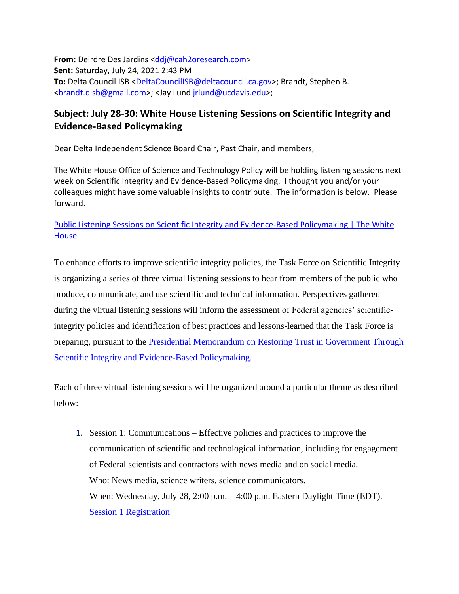**From:** Deirdre Des Jardins [<ddj@cah2oresearch.com>](ddj@cah2oresearch.com) **Sent:** Saturday, July 24, 2021 2:43 PM To: Delta Council ISB [<DeltaCouncilISB@deltacouncil.ca.gov>](DeltaCouncilISB@deltacouncil.ca.gov); Brandt, Stephen B. [<brandt.disb@gmail.com>](brandt.disb@gmail.com); <Jay Lund [jrlund@ucdavis.edu>](mailto:jrlund@ucdavis.edu);

## **Subject: July 28-30: White House Listening Sessions on Scientific Integrity and Evidence-Based Policymaking**

Dear Delta Independent Science Board Chair, Past Chair, and members,

The White House Office of Science and Technology Policy will be holding listening sessions next week on Scientific Integrity and Evidence-Based Policymaking. I thought you and/or your colleagues might have some valuable insights to contribute. The information is below. Please forward.

## [Public Listening Sessions on Scientific Integrity and Evidence-Based Policymaking | The White](https://www.whitehouse.gov/ostp/news-updates/2021/07/14/public-listening-sessions-on-scientific-integrity-and-evidence-based-policymaking/)  **[House](https://www.whitehouse.gov/ostp/news-updates/2021/07/14/public-listening-sessions-on-scientific-integrity-and-evidence-based-policymaking/)**

To enhance efforts to improve scientific integrity policies, the Task Force on Scientific Integrity is organizing a series of three virtual listening sessions to hear from members of the public who produce, communicate, and use scientific and technical information. Perspectives gathered during the virtual listening sessions will inform the assessment of Federal agencies' scientificintegrity policies and identification of best practices and lessons-learned that the Task Force is preparing, pursuant to the [Presidential Memorandum on Restoring Trust in Government Through](https://www.whitehouse.gov/briefing-room/presidential-actions/2021/01/27/memorandum-on-restoring-trust-in-government-through-scientific-integrity-and-evidence-based-policymaking/)  [Scientific Integrity and Evidence-Based Policymaking.](https://www.whitehouse.gov/briefing-room/presidential-actions/2021/01/27/memorandum-on-restoring-trust-in-government-through-scientific-integrity-and-evidence-based-policymaking/)

Each of three virtual listening sessions will be organized around a particular theme as described below:

1. Session 1: Communications – Effective policies and practices to improve the communication of scientific and technological information, including for engagement of Federal scientists and contractors with news media and on social media. Who: News media, science writers, science communicators. When: Wednesday, July 28, 2:00 p.m. – 4:00 p.m. Eastern Daylight Time (EDT). [Session 1 Registration](https://ida-org.zoomgov.com/meeting/register/vJIsdeGrqTstHfZn-KhEXlhuusJW7sGzvx0)